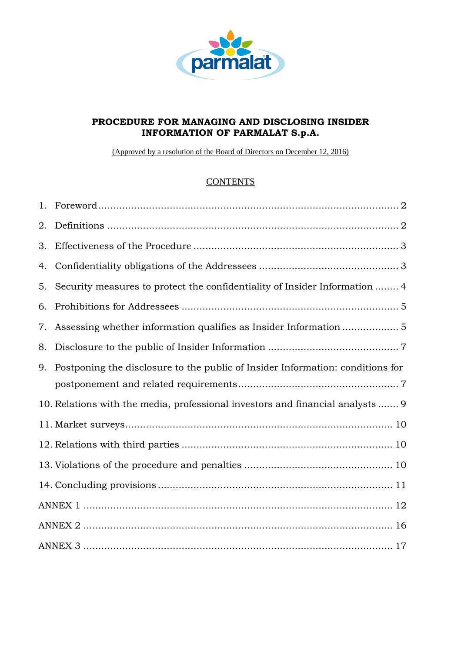

# **PROCEDURE FOR MANAGING AND DISCLOSING INSIDER INFORMATION OF PARMALAT S.p.A.**

(Approved by a resolution of the Board of Directors on December 12, 2016)

# **CONTENTS**

| 2. |                                                                                   |
|----|-----------------------------------------------------------------------------------|
| 3. |                                                                                   |
| 4. |                                                                                   |
| 5. | Security measures to protect the confidentiality of Insider Information  4        |
| 6. |                                                                                   |
| 7. |                                                                                   |
| 8. |                                                                                   |
|    | 9. Postponing the disclosure to the public of Insider Information: conditions for |
|    |                                                                                   |
|    | 10. Relations with the media, professional investors and financial analysts 9     |
|    |                                                                                   |
|    |                                                                                   |
|    |                                                                                   |
|    |                                                                                   |
|    |                                                                                   |
|    |                                                                                   |
|    |                                                                                   |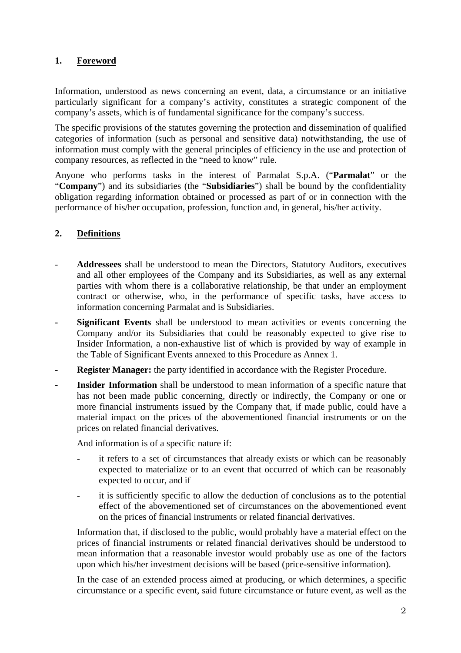# **1. Foreword**

Information, understood as news concerning an event, data, a circumstance or an initiative particularly significant for a company's activity, constitutes a strategic component of the company's assets, which is of fundamental significance for the company's success.

The specific provisions of the statutes governing the protection and dissemination of qualified categories of information (such as personal and sensitive data) notwithstanding, the use of information must comply with the general principles of efficiency in the use and protection of company resources, as reflected in the "need to know" rule.

Anyone who performs tasks in the interest of Parmalat S.p.A. ("**Parmalat**" or the "**Company**") and its subsidiaries (the "**Subsidiaries**") shall be bound by the confidentiality obligation regarding information obtained or processed as part of or in connection with the performance of his/her occupation, profession, function and, in general, his/her activity.

# **2. Definitions**

- **Addressees** shall be understood to mean the Directors, Statutory Auditors, executives and all other employees of the Company and its Subsidiaries, as well as any external parties with whom there is a collaborative relationship, be that under an employment contract or otherwise, who, in the performance of specific tasks, have access to information concerning Parmalat and is Subsidiaries.
- **Significant Events** shall be understood to mean activities or events concerning the Company and/or its Subsidiaries that could be reasonably expected to give rise to Insider Information, a non-exhaustive list of which is provided by way of example in the Table of Significant Events annexed to this Procedure as Annex 1.
- **Register Manager:** the party identified in accordance with the Register Procedure.
- Insider Information shall be understood to mean information of a specific nature that has not been made public concerning, directly or indirectly, the Company or one or more financial instruments issued by the Company that, if made public, could have a material impact on the prices of the abovementioned financial instruments or on the prices on related financial derivatives.

And information is of a specific nature if:

- it refers to a set of circumstances that already exists or which can be reasonably expected to materialize or to an event that occurred of which can be reasonably expected to occur, and if
- it is sufficiently specific to allow the deduction of conclusions as to the potential effect of the abovementioned set of circumstances on the abovementioned event on the prices of financial instruments or related financial derivatives.

Information that, if disclosed to the public, would probably have a material effect on the prices of financial instruments or related financial derivatives should be understood to mean information that a reasonable investor would probably use as one of the factors upon which his/her investment decisions will be based (price-sensitive information).

In the case of an extended process aimed at producing, or which determines, a specific circumstance or a specific event, said future circumstance or future event, as well as the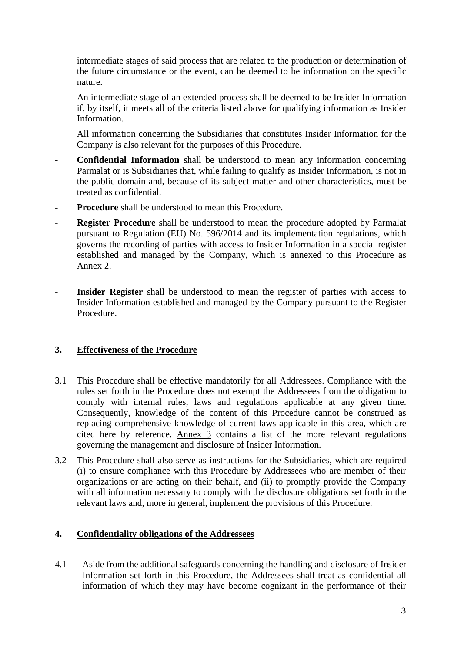intermediate stages of said process that are related to the production or determination of the future circumstance or the event, can be deemed to be information on the specific nature.

An intermediate stage of an extended process shall be deemed to be Insider Information if, by itself, it meets all of the criteria listed above for qualifying information as Insider **Information** 

All information concerning the Subsidiaries that constitutes Insider Information for the Company is also relevant for the purposes of this Procedure.

- **Confidential Information** shall be understood to mean any information concerning Parmalat or is Subsidiaries that, while failing to qualify as Insider Information, is not in the public domain and, because of its subject matter and other characteristics, must be treated as confidential.
- **Procedure** shall be understood to mean this Procedure.
- **Register Procedure** shall be understood to mean the procedure adopted by Parmalat pursuant to Regulation (EU) No. 596/2014 and its implementation regulations, which governs the recording of parties with access to Insider Information in a special register established and managed by the Company, which is annexed to this Procedure as Annex 2.
- **Insider Register** shall be understood to mean the register of parties with access to Insider Information established and managed by the Company pursuant to the Register Procedure.

#### **3. Effectiveness of the Procedure**

- 3.1 This Procedure shall be effective mandatorily for all Addressees. Compliance with the rules set forth in the Procedure does not exempt the Addressees from the obligation to comply with internal rules, laws and regulations applicable at any given time. Consequently, knowledge of the content of this Procedure cannot be construed as replacing comprehensive knowledge of current laws applicable in this area, which are cited here by reference. Annex 3 contains a list of the more relevant regulations governing the management and disclosure of Insider Information.
- 3.2 This Procedure shall also serve as instructions for the Subsidiaries, which are required (i) to ensure compliance with this Procedure by Addressees who are member of their organizations or are acting on their behalf, and (ii) to promptly provide the Company with all information necessary to comply with the disclosure obligations set forth in the relevant laws and, more in general, implement the provisions of this Procedure.

#### **4. Confidentiality obligations of the Addressees**

4.1 Aside from the additional safeguards concerning the handling and disclosure of Insider Information set forth in this Procedure, the Addressees shall treat as confidential all information of which they may have become cognizant in the performance of their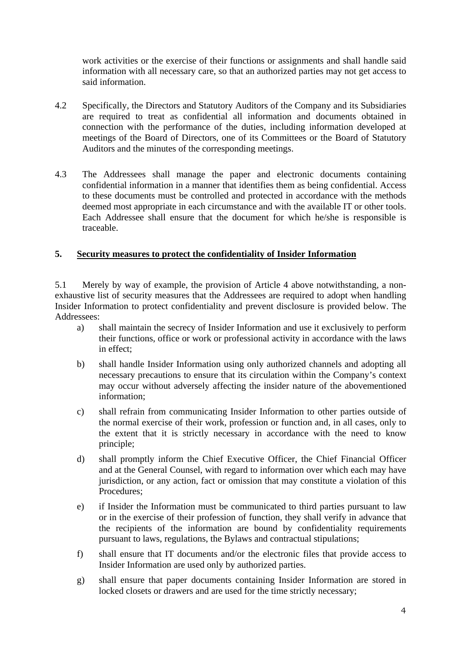work activities or the exercise of their functions or assignments and shall handle said information with all necessary care, so that an authorized parties may not get access to said information.

- 4.2 Specifically, the Directors and Statutory Auditors of the Company and its Subsidiaries are required to treat as confidential all information and documents obtained in connection with the performance of the duties, including information developed at meetings of the Board of Directors, one of its Committees or the Board of Statutory Auditors and the minutes of the corresponding meetings.
- 4.3 The Addressees shall manage the paper and electronic documents containing confidential information in a manner that identifies them as being confidential. Access to these documents must be controlled and protected in accordance with the methods deemed most appropriate in each circumstance and with the available IT or other tools. Each Addressee shall ensure that the document for which he/she is responsible is traceable.

#### **5. Security measures to protect the confidentiality of Insider Information**

5.1 Merely by way of example, the provision of Article 4 above notwithstanding, a nonexhaustive list of security measures that the Addressees are required to adopt when handling Insider Information to protect confidentiality and prevent disclosure is provided below. The Addressees:

- a) shall maintain the secrecy of Insider Information and use it exclusively to perform their functions, office or work or professional activity in accordance with the laws in effect;
- b) shall handle Insider Information using only authorized channels and adopting all necessary precautions to ensure that its circulation within the Company's context may occur without adversely affecting the insider nature of the abovementioned information;
- c) shall refrain from communicating Insider Information to other parties outside of the normal exercise of their work, profession or function and, in all cases, only to the extent that it is strictly necessary in accordance with the need to know principle;
- d) shall promptly inform the Chief Executive Officer, the Chief Financial Officer and at the General Counsel, with regard to information over which each may have jurisdiction, or any action, fact or omission that may constitute a violation of this Procedures;
- e) if Insider the Information must be communicated to third parties pursuant to law or in the exercise of their profession of function, they shall verify in advance that the recipients of the information are bound by confidentiality requirements pursuant to laws, regulations, the Bylaws and contractual stipulations;
- f) shall ensure that IT documents and/or the electronic files that provide access to Insider Information are used only by authorized parties.
- g) shall ensure that paper documents containing Insider Information are stored in locked closets or drawers and are used for the time strictly necessary;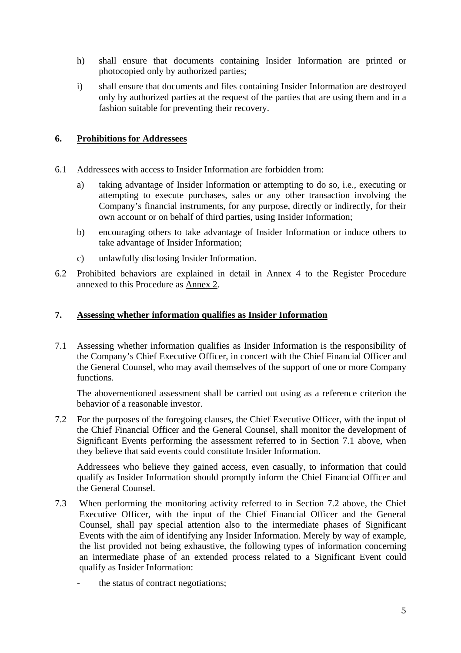- h) shall ensure that documents containing Insider Information are printed or photocopied only by authorized parties;
- i) shall ensure that documents and files containing Insider Information are destroyed only by authorized parties at the request of the parties that are using them and in a fashion suitable for preventing their recovery.

#### **6. Prohibitions for Addressees**

- 6.1 Addressees with access to Insider Information are forbidden from:
	- a) taking advantage of Insider Information or attempting to do so, i.e., executing or attempting to execute purchases, sales or any other transaction involving the Company's financial instruments, for any purpose, directly or indirectly, for their own account or on behalf of third parties, using Insider Information;
	- b) encouraging others to take advantage of Insider Information or induce others to take advantage of Insider Information;
	- c) unlawfully disclosing Insider Information.
- 6.2 Prohibited behaviors are explained in detail in Annex 4 to the Register Procedure annexed to this Procedure as Annex 2.

#### **7. Assessing whether information qualifies as Insider Information**

7.1 Assessing whether information qualifies as Insider Information is the responsibility of the Company's Chief Executive Officer, in concert with the Chief Financial Officer and the General Counsel, who may avail themselves of the support of one or more Company functions.

 The abovementioned assessment shall be carried out using as a reference criterion the behavior of a reasonable investor.

7.2 For the purposes of the foregoing clauses, the Chief Executive Officer, with the input of the Chief Financial Officer and the General Counsel, shall monitor the development of Significant Events performing the assessment referred to in Section 7.1 above, when they believe that said events could constitute Insider Information.

Addressees who believe they gained access, even casually, to information that could qualify as Insider Information should promptly inform the Chief Financial Officer and the General Counsel.

- 7.3 When performing the monitoring activity referred to in Section 7.2 above, the Chief Executive Officer, with the input of the Chief Financial Officer and the General Counsel, shall pay special attention also to the intermediate phases of Significant Events with the aim of identifying any Insider Information. Merely by way of example, the list provided not being exhaustive, the following types of information concerning an intermediate phase of an extended process related to a Significant Event could qualify as Insider Information:
	- the status of contract negotiations;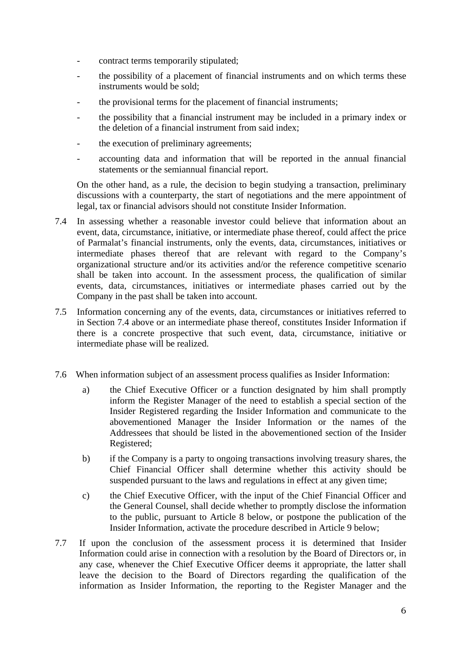- contract terms temporarily stipulated;
- the possibility of a placement of financial instruments and on which terms these instruments would be sold;
- the provisional terms for the placement of financial instruments;
- the possibility that a financial instrument may be included in a primary index or the deletion of a financial instrument from said index;
- the execution of preliminary agreements;
- accounting data and information that will be reported in the annual financial statements or the semiannual financial report.

On the other hand, as a rule, the decision to begin studying a transaction, preliminary discussions with a counterparty, the start of negotiations and the mere appointment of legal, tax or financial advisors should not constitute Insider Information.

- 7.4 In assessing whether a reasonable investor could believe that information about an event, data, circumstance, initiative, or intermediate phase thereof, could affect the price of Parmalat's financial instruments, only the events, data, circumstances, initiatives or intermediate phases thereof that are relevant with regard to the Company's organizational structure and/or its activities and/or the reference competitive scenario shall be taken into account. In the assessment process, the qualification of similar events, data, circumstances, initiatives or intermediate phases carried out by the Company in the past shall be taken into account.
- 7.5 Information concerning any of the events, data, circumstances or initiatives referred to in Section 7.4 above or an intermediate phase thereof, constitutes Insider Information if there is a concrete prospective that such event, data, circumstance, initiative or intermediate phase will be realized.
- 7.6 When information subject of an assessment process qualifies as Insider Information:
	- a) the Chief Executive Officer or a function designated by him shall promptly inform the Register Manager of the need to establish a special section of the Insider Registered regarding the Insider Information and communicate to the abovementioned Manager the Insider Information or the names of the Addressees that should be listed in the abovementioned section of the Insider Registered;
	- b) if the Company is a party to ongoing transactions involving treasury shares, the Chief Financial Officer shall determine whether this activity should be suspended pursuant to the laws and regulations in effect at any given time;
	- c) the Chief Executive Officer, with the input of the Chief Financial Officer and the General Counsel, shall decide whether to promptly disclose the information to the public, pursuant to Article 8 below, or postpone the publication of the Insider Information, activate the procedure described in Article 9 below;
- 7.7 If upon the conclusion of the assessment process it is determined that Insider Information could arise in connection with a resolution by the Board of Directors or, in any case, whenever the Chief Executive Officer deems it appropriate, the latter shall leave the decision to the Board of Directors regarding the qualification of the information as Insider Information, the reporting to the Register Manager and the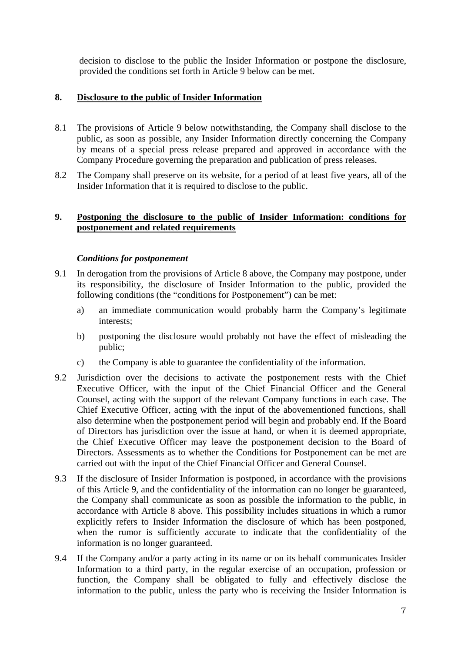decision to disclose to the public the Insider Information or postpone the disclosure, provided the conditions set forth in Article 9 below can be met.

# **8. Disclosure to the public of Insider Information**

- 8.1 The provisions of Article 9 below notwithstanding, the Company shall disclose to the public, as soon as possible, any Insider Information directly concerning the Company by means of a special press release prepared and approved in accordance with the Company Procedure governing the preparation and publication of press releases.
- 8.2 The Company shall preserve on its website, for a period of at least five years, all of the Insider Information that it is required to disclose to the public.

## **9. Postponing the disclosure to the public of Insider Information: conditions for postponement and related requirements**

#### *Conditions for postponement*

- 9.1 In derogation from the provisions of Article 8 above, the Company may postpone, under its responsibility, the disclosure of Insider Information to the public, provided the following conditions (the "conditions for Postponement") can be met:
	- a) an immediate communication would probably harm the Company's legitimate interests;
	- b) postponing the disclosure would probably not have the effect of misleading the public;
	- c) the Company is able to guarantee the confidentiality of the information.
- 9.2 Jurisdiction over the decisions to activate the postponement rests with the Chief Executive Officer, with the input of the Chief Financial Officer and the General Counsel, acting with the support of the relevant Company functions in each case. The Chief Executive Officer, acting with the input of the abovementioned functions, shall also determine when the postponement period will begin and probably end. If the Board of Directors has jurisdiction over the issue at hand, or when it is deemed appropriate, the Chief Executive Officer may leave the postponement decision to the Board of Directors. Assessments as to whether the Conditions for Postponement can be met are carried out with the input of the Chief Financial Officer and General Counsel.
- 9.3 If the disclosure of Insider Information is postponed, in accordance with the provisions of this Article 9, and the confidentiality of the information can no longer be guaranteed, the Company shall communicate as soon as possible the information to the public, in accordance with Article 8 above. This possibility includes situations in which a rumor explicitly refers to Insider Information the disclosure of which has been postponed, when the rumor is sufficiently accurate to indicate that the confidentiality of the information is no longer guaranteed.
- 9.4 If the Company and/or a party acting in its name or on its behalf communicates Insider Information to a third party, in the regular exercise of an occupation, profession or function, the Company shall be obligated to fully and effectively disclose the information to the public, unless the party who is receiving the Insider Information is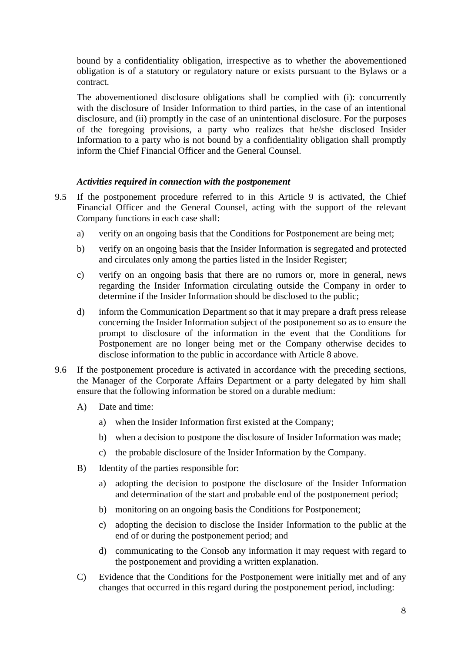bound by a confidentiality obligation, irrespective as to whether the abovementioned obligation is of a statutory or regulatory nature or exists pursuant to the Bylaws or a contract.

The abovementioned disclosure obligations shall be complied with (i): concurrently with the disclosure of Insider Information to third parties, in the case of an intentional disclosure, and (ii) promptly in the case of an unintentional disclosure. For the purposes of the foregoing provisions, a party who realizes that he/she disclosed Insider Information to a party who is not bound by a confidentiality obligation shall promptly inform the Chief Financial Officer and the General Counsel.

#### *Activities required in connection with the postponement*

- 9.5 If the postponement procedure referred to in this Article 9 is activated, the Chief Financial Officer and the General Counsel, acting with the support of the relevant Company functions in each case shall:
	- a) verify on an ongoing basis that the Conditions for Postponement are being met;
	- b) verify on an ongoing basis that the Insider Information is segregated and protected and circulates only among the parties listed in the Insider Register;
	- c) verify on an ongoing basis that there are no rumors or, more in general, news regarding the Insider Information circulating outside the Company in order to determine if the Insider Information should be disclosed to the public;
	- d) inform the Communication Department so that it may prepare a draft press release concerning the Insider Information subject of the postponement so as to ensure the prompt to disclosure of the information in the event that the Conditions for Postponement are no longer being met or the Company otherwise decides to disclose information to the public in accordance with Article 8 above.
- 9.6 If the postponement procedure is activated in accordance with the preceding sections, the Manager of the Corporate Affairs Department or a party delegated by him shall ensure that the following information be stored on a durable medium:
	- A) Date and time:
		- a) when the Insider Information first existed at the Company;
		- b) when a decision to postpone the disclosure of Insider Information was made;
		- c) the probable disclosure of the Insider Information by the Company.
	- B) Identity of the parties responsible for:
		- a) adopting the decision to postpone the disclosure of the Insider Information and determination of the start and probable end of the postponement period;
		- b) monitoring on an ongoing basis the Conditions for Postponement;
		- c) adopting the decision to disclose the Insider Information to the public at the end of or during the postponement period; and
		- d) communicating to the Consob any information it may request with regard to the postponement and providing a written explanation.
	- C) Evidence that the Conditions for the Postponement were initially met and of any changes that occurred in this regard during the postponement period, including: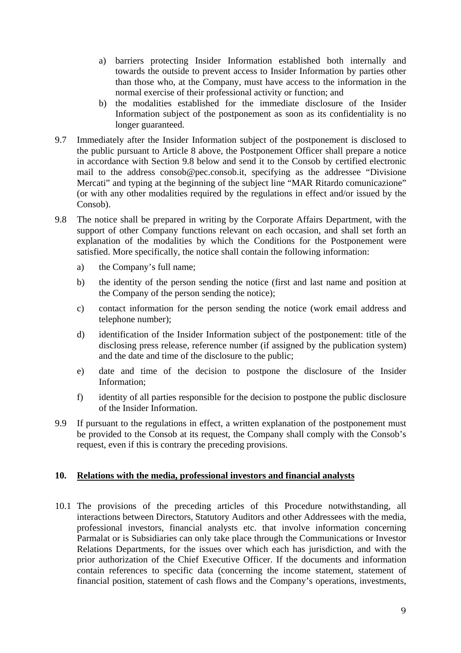- a) barriers protecting Insider Information established both internally and towards the outside to prevent access to Insider Information by parties other than those who, at the Company, must have access to the information in the normal exercise of their professional activity or function; and
- b) the modalities established for the immediate disclosure of the Insider Information subject of the postponement as soon as its confidentiality is no longer guaranteed.
- 9.7 Immediately after the Insider Information subject of the postponement is disclosed to the public pursuant to Article 8 above, the Postponement Officer shall prepare a notice in accordance with Section 9.8 below and send it to the Consob by certified electronic mail to the address consob@pec.consob.it, specifying as the addressee "Divisione Mercati" and typing at the beginning of the subject line "MAR Ritardo comunicazione" (or with any other modalities required by the regulations in effect and/or issued by the Consob).
- 9.8 The notice shall be prepared in writing by the Corporate Affairs Department, with the support of other Company functions relevant on each occasion, and shall set forth an explanation of the modalities by which the Conditions for the Postponement were satisfied. More specifically, the notice shall contain the following information:
	- a) the Company's full name;
	- b) the identity of the person sending the notice (first and last name and position at the Company of the person sending the notice);
	- c) contact information for the person sending the notice (work email address and telephone number);
	- d) identification of the Insider Information subject of the postponement: title of the disclosing press release, reference number (if assigned by the publication system) and the date and time of the disclosure to the public;
	- e) date and time of the decision to postpone the disclosure of the Insider Information;
	- f) identity of all parties responsible for the decision to postpone the public disclosure of the Insider Information.
- 9.9 If pursuant to the regulations in effect, a written explanation of the postponement must be provided to the Consob at its request, the Company shall comply with the Consob's request, even if this is contrary the preceding provisions.

#### **10. Relations with the media, professional investors and financial analysts**

10.1 The provisions of the preceding articles of this Procedure notwithstanding, all interactions between Directors, Statutory Auditors and other Addressees with the media, professional investors, financial analysts etc. that involve information concerning Parmalat or is Subsidiaries can only take place through the Communications or Investor Relations Departments, for the issues over which each has jurisdiction, and with the prior authorization of the Chief Executive Officer. If the documents and information contain references to specific data (concerning the income statement, statement of financial position, statement of cash flows and the Company's operations, investments,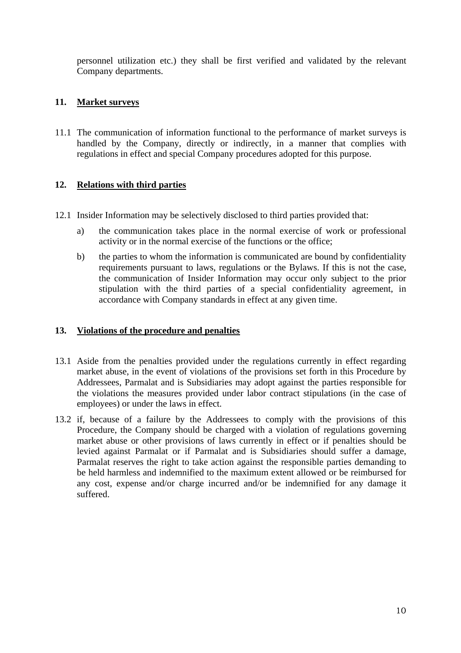personnel utilization etc.) they shall be first verified and validated by the relevant Company departments.

# **11. Market surveys**

11.1 The communication of information functional to the performance of market surveys is handled by the Company, directly or indirectly, in a manner that complies with regulations in effect and special Company procedures adopted for this purpose.

# **12. Relations with third parties**

- 12.1 Insider Information may be selectively disclosed to third parties provided that:
	- a) the communication takes place in the normal exercise of work or professional activity or in the normal exercise of the functions or the office;
	- b) the parties to whom the information is communicated are bound by confidentiality requirements pursuant to laws, regulations or the Bylaws. If this is not the case, the communication of Insider Information may occur only subject to the prior stipulation with the third parties of a special confidentiality agreement, in accordance with Company standards in effect at any given time.

#### **13. Violations of the procedure and penalties**

- 13.1 Aside from the penalties provided under the regulations currently in effect regarding market abuse, in the event of violations of the provisions set forth in this Procedure by Addressees, Parmalat and is Subsidiaries may adopt against the parties responsible for the violations the measures provided under labor contract stipulations (in the case of employees) or under the laws in effect.
- 13.2 if, because of a failure by the Addressees to comply with the provisions of this Procedure, the Company should be charged with a violation of regulations governing market abuse or other provisions of laws currently in effect or if penalties should be levied against Parmalat or if Parmalat and is Subsidiaries should suffer a damage, Parmalat reserves the right to take action against the responsible parties demanding to be held harmless and indemnified to the maximum extent allowed or be reimbursed for any cost, expense and/or charge incurred and/or be indemnified for any damage it suffered.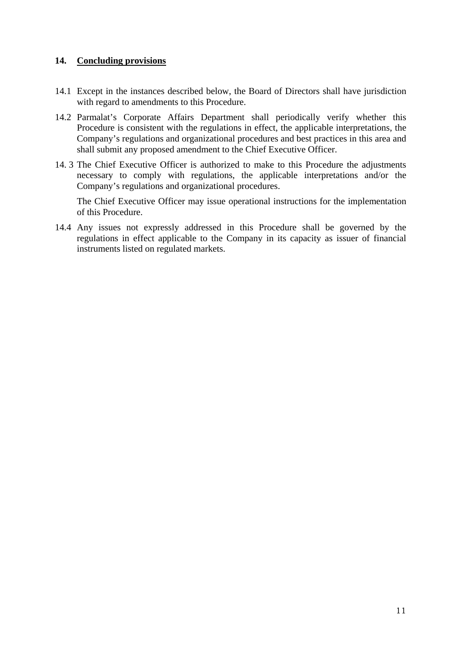#### **14. Concluding provisions**

- 14.1 Except in the instances described below, the Board of Directors shall have jurisdiction with regard to amendments to this Procedure.
- 14.2 Parmalat's Corporate Affairs Department shall periodically verify whether this Procedure is consistent with the regulations in effect, the applicable interpretations, the Company's regulations and organizational procedures and best practices in this area and shall submit any proposed amendment to the Chief Executive Officer.
- 14. 3 The Chief Executive Officer is authorized to make to this Procedure the adjustments necessary to comply with regulations, the applicable interpretations and/or the Company's regulations and organizational procedures.

 The Chief Executive Officer may issue operational instructions for the implementation of this Procedure.

14.4 Any issues not expressly addressed in this Procedure shall be governed by the regulations in effect applicable to the Company in its capacity as issuer of financial instruments listed on regulated markets.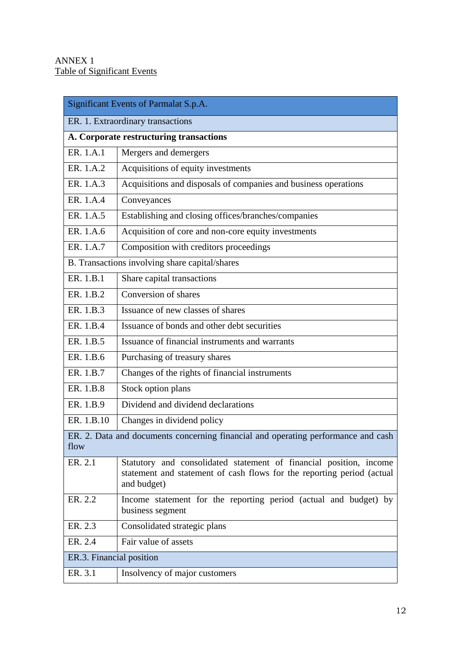$\overline{a}$ 

| Significant Events of Parmalat S.p.A.                                                     |                                                                                                                                                             |  |  |  |
|-------------------------------------------------------------------------------------------|-------------------------------------------------------------------------------------------------------------------------------------------------------------|--|--|--|
| ER. 1. Extraordinary transactions                                                         |                                                                                                                                                             |  |  |  |
| A. Corporate restructuring transactions                                                   |                                                                                                                                                             |  |  |  |
| ER. 1.A.1                                                                                 | Mergers and demergers                                                                                                                                       |  |  |  |
| ER. 1.A.2                                                                                 | Acquisitions of equity investments                                                                                                                          |  |  |  |
| ER. 1.A.3                                                                                 | Acquisitions and disposals of companies and business operations                                                                                             |  |  |  |
| ER. 1.A.4                                                                                 | Conveyances                                                                                                                                                 |  |  |  |
| ER. 1.A.5                                                                                 | Establishing and closing offices/branches/companies                                                                                                         |  |  |  |
| ER. 1.A.6                                                                                 | Acquisition of core and non-core equity investments                                                                                                         |  |  |  |
| ER. 1.A.7                                                                                 | Composition with creditors proceedings                                                                                                                      |  |  |  |
|                                                                                           | B. Transactions involving share capital/shares                                                                                                              |  |  |  |
| ER. 1.B.1                                                                                 | Share capital transactions                                                                                                                                  |  |  |  |
| ER. 1.B.2                                                                                 | Conversion of shares                                                                                                                                        |  |  |  |
| ER. 1.B.3                                                                                 | Issuance of new classes of shares                                                                                                                           |  |  |  |
| ER. 1.B.4                                                                                 | Issuance of bonds and other debt securities                                                                                                                 |  |  |  |
| ER. 1.B.5                                                                                 | Issuance of financial instruments and warrants                                                                                                              |  |  |  |
| ER. 1.B.6                                                                                 | Purchasing of treasury shares                                                                                                                               |  |  |  |
| ER. 1.B.7                                                                                 | Changes of the rights of financial instruments                                                                                                              |  |  |  |
| ER. 1.B.8                                                                                 | Stock option plans                                                                                                                                          |  |  |  |
| ER. 1.B.9                                                                                 | Dividend and dividend declarations                                                                                                                          |  |  |  |
| ER. 1.B.10                                                                                | Changes in dividend policy                                                                                                                                  |  |  |  |
| ER. 2. Data and documents concerning financial and operating performance and cash<br>flow |                                                                                                                                                             |  |  |  |
| ER. 2.1                                                                                   | Statutory and consolidated statement of financial position, income<br>statement and statement of cash flows for the reporting period (actual<br>and budget) |  |  |  |
| ER. 2.2                                                                                   | Income statement for the reporting period (actual and budget) by<br>business segment                                                                        |  |  |  |
| ER. 2.3                                                                                   | Consolidated strategic plans                                                                                                                                |  |  |  |
| ER. 2.4                                                                                   | Fair value of assets                                                                                                                                        |  |  |  |
| ER.3. Financial position                                                                  |                                                                                                                                                             |  |  |  |
| ER. 3.1                                                                                   | Insolvency of major customers                                                                                                                               |  |  |  |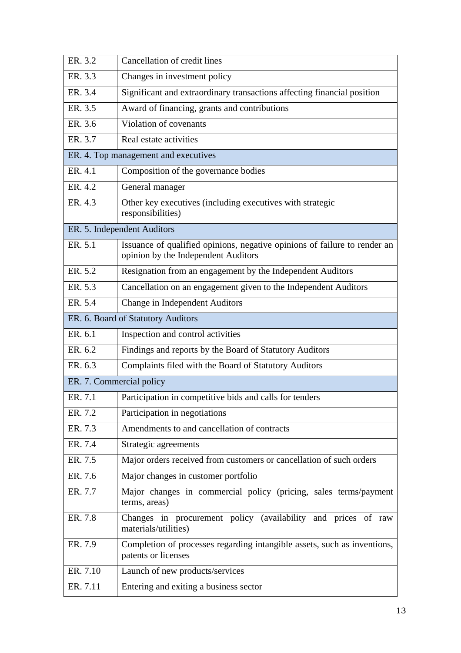| ER. 3.2                  | Cancellation of credit lines                                                                                     |
|--------------------------|------------------------------------------------------------------------------------------------------------------|
| ER. 3.3                  | Changes in investment policy                                                                                     |
| ER. 3.4                  | Significant and extraordinary transactions affecting financial position                                          |
| ER. 3.5                  | Award of financing, grants and contributions                                                                     |
| ER. 3.6                  | Violation of covenants                                                                                           |
| ER. 3.7                  | Real estate activities                                                                                           |
|                          | ER. 4. Top management and executives                                                                             |
| ER. 4.1                  | Composition of the governance bodies                                                                             |
| ER. 4.2                  | General manager                                                                                                  |
| ER. 4.3                  | Other key executives (including executives with strategic<br>responsibilities)                                   |
|                          | ER. 5. Independent Auditors                                                                                      |
| ER. 5.1                  | Issuance of qualified opinions, negative opinions of failure to render an<br>opinion by the Independent Auditors |
| ER. 5.2                  | Resignation from an engagement by the Independent Auditors                                                       |
| ER. 5.3                  | Cancellation on an engagement given to the Independent Auditors                                                  |
| ER. 5.4                  | Change in Independent Auditors                                                                                   |
|                          | ER. 6. Board of Statutory Auditors                                                                               |
| ER. 6.1                  | Inspection and control activities                                                                                |
| ER. 6.2                  | Findings and reports by the Board of Statutory Auditors                                                          |
| ER. 6.3                  | Complaints filed with the Board of Statutory Auditors                                                            |
| ER. 7. Commercial policy |                                                                                                                  |
| ER. 7.1                  | Participation in competitive bids and calls for tenders                                                          |
| ER. 7.2                  | Participation in negotiations                                                                                    |
| ER. 7.3                  | Amendments to and cancellation of contracts                                                                      |
| ER. 7.4                  | Strategic agreements                                                                                             |
| ER. 7.5                  | Major orders received from customers or cancellation of such orders                                              |
| ER. 7.6                  | Major changes in customer portfolio                                                                              |
| ER. 7.7                  | Major changes in commercial policy (pricing, sales terms/payment<br>terms, areas)                                |
| ER. 7.8                  | Changes in procurement policy (availability and prices of raw<br>materials/utilities)                            |
| ER. 7.9                  | Completion of processes regarding intangible assets, such as inventions,<br>patents or licenses                  |
| ER. 7.10                 | Launch of new products/services                                                                                  |
| ER. 7.11                 | Entering and exiting a business sector                                                                           |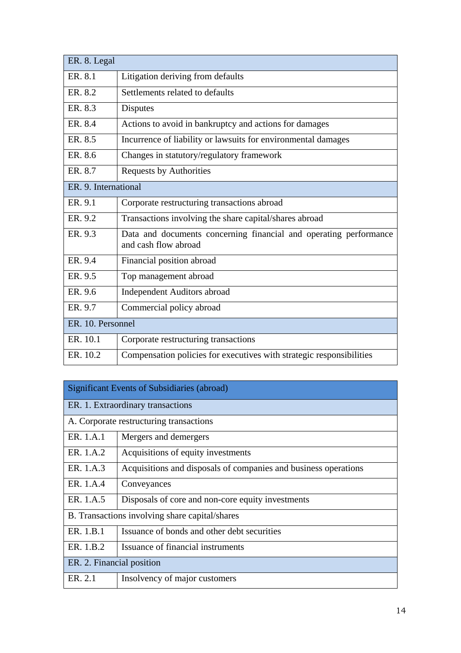| ER. 8. Legal         |                                                                                           |  |  |  |
|----------------------|-------------------------------------------------------------------------------------------|--|--|--|
| ER. 8.1              | Litigation deriving from defaults                                                         |  |  |  |
| ER. 8.2              | Settlements related to defaults                                                           |  |  |  |
| ER. 8.3              | <b>Disputes</b>                                                                           |  |  |  |
| ER. 8.4              | Actions to avoid in bankruptcy and actions for damages                                    |  |  |  |
| ER. 8.5              | Incurrence of liability or lawsuits for environmental damages                             |  |  |  |
| ER. 8.6              | Changes in statutory/regulatory framework                                                 |  |  |  |
| ER. 8.7              | <b>Requests by Authorities</b>                                                            |  |  |  |
| ER. 9. International |                                                                                           |  |  |  |
| ER. 9.1              | Corporate restructuring transactions abroad                                               |  |  |  |
| ER. 9.2              | Transactions involving the share capital/shares abroad                                    |  |  |  |
| ER. 9.3              | Data and documents concerning financial and operating performance<br>and cash flow abroad |  |  |  |
| ER. 9.4              | Financial position abroad                                                                 |  |  |  |
| ER. 9.5              | Top management abroad                                                                     |  |  |  |
| ER. 9.6              | <b>Independent Auditors abroad</b>                                                        |  |  |  |
| ER. 9.7              | Commercial policy abroad                                                                  |  |  |  |
| ER. 10. Personnel    |                                                                                           |  |  |  |
| ER. 10.1             | Corporate restructuring transactions                                                      |  |  |  |
| ER. 10.2             | Compensation policies for executives with strategic responsibilities                      |  |  |  |

| <b>Significant Events of Subsidiaries (abroad)</b> |                                                                 |  |  |  |
|----------------------------------------------------|-----------------------------------------------------------------|--|--|--|
| ER. 1. Extraordinary transactions                  |                                                                 |  |  |  |
| A. Corporate restructuring transactions            |                                                                 |  |  |  |
| ER. 1.A.1                                          | Mergers and demergers                                           |  |  |  |
| ER. 1.A.2                                          | Acquisitions of equity investments                              |  |  |  |
| ER. 1.A.3                                          | Acquisitions and disposals of companies and business operations |  |  |  |
| ER. 1.A.4                                          | Conveyances                                                     |  |  |  |
| ER. 1.A.5                                          | Disposals of core and non-core equity investments               |  |  |  |
| B. Transactions involving share capital/shares     |                                                                 |  |  |  |
| ER. 1.B.1                                          | Issuance of bonds and other debt securities                     |  |  |  |
| ER. 1.B.2                                          | Issuance of financial instruments                               |  |  |  |
| ER. 2. Financial position                          |                                                                 |  |  |  |
| ER. 2.1                                            | Insolvency of major customers                                   |  |  |  |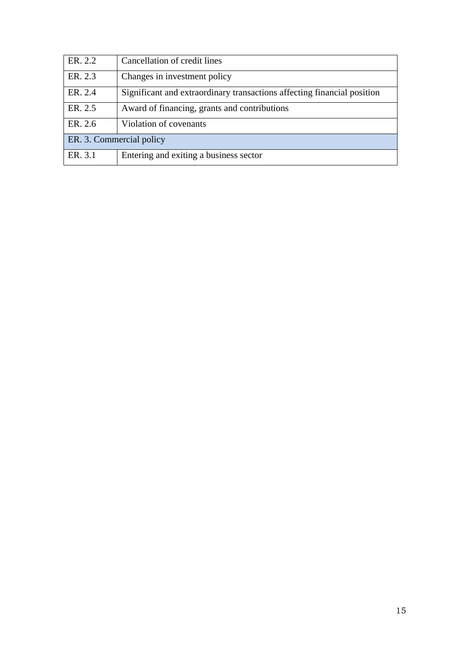| ER. 2.2                  | Cancellation of credit lines                                            |  |  |
|--------------------------|-------------------------------------------------------------------------|--|--|
| ER. 2.3                  | Changes in investment policy                                            |  |  |
| ER. 2.4                  | Significant and extraordinary transactions affecting financial position |  |  |
| ER. 2.5                  | Award of financing, grants and contributions                            |  |  |
| ER. 2.6                  | Violation of covenants                                                  |  |  |
| ER. 3. Commercial policy |                                                                         |  |  |
| ER. 3.1                  | Entering and exiting a business sector                                  |  |  |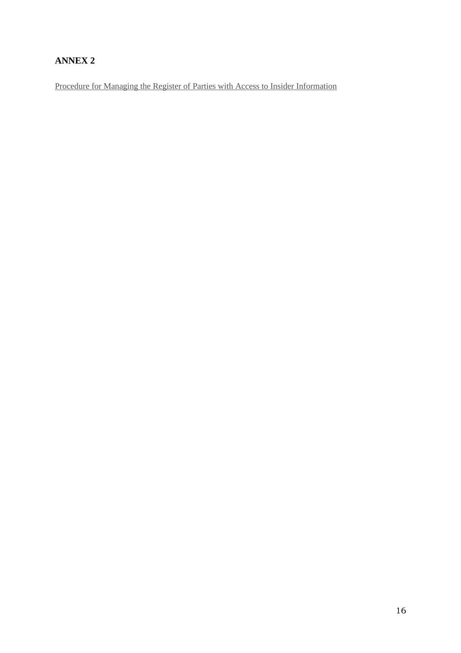# **ANNEX 2**

Procedure for Managing the Register of Parties with Access to Insider Information